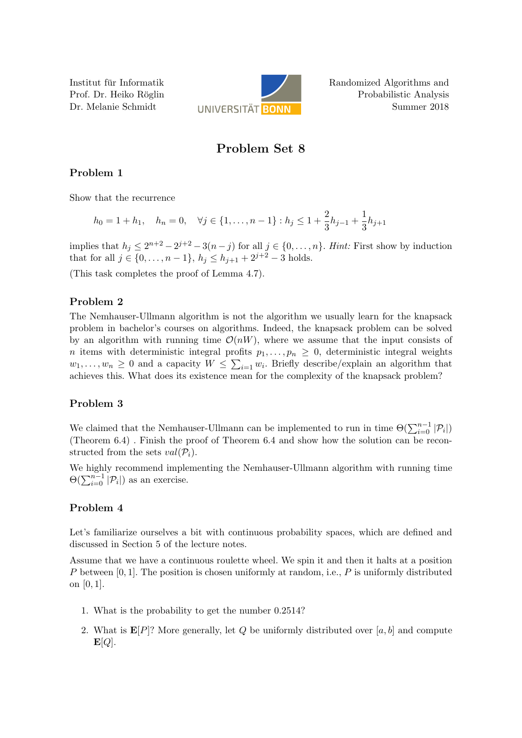Institut fur Informatik ¨ Prof. Dr. Heiko Röglin Dr. Melanie Schmidt



Randomized Algorithms and Probabilistic Analysis Summer 2018

# Problem Set 8

## Problem 1

Show that the recurrence

$$
h_0 = 1 + h_1, \quad h_n = 0, \quad \forall j \in \{1, \dots, n-1\} : h_j \le 1 + \frac{2}{3}h_{j-1} + \frac{1}{3}h_{j+1}
$$

implies that  $h_j \leq 2^{n+2} - 2^{j+2} - 3(n-j)$  for all  $j \in \{0, ..., n\}$ . Hint: First show by induction that for all  $j \in \{0, \ldots, n-1\}, h_j \leq h_{j+1} + 2^{j+2} - 3$  holds.

(This task completes the proof of Lemma 4.7).

### Problem 2

The Nemhauser-Ullmann algorithm is not the algorithm we usually learn for the knapsack problem in bachelor's courses on algorithms. Indeed, the knapsack problem can be solved by an algorithm with running time  $\mathcal{O}(nW)$ , where we assume that the input consists of n items with deterministic integral profits  $p_1, \ldots, p_n \geq 0$ , deterministic integral weights  $w_1, \ldots, w_n \geq 0$  and a capacity  $W \leq \sum_{i=1} w_i$ . Briefly describe/explain an algorithm that achieves this. What does its existence mean for the complexity of the knapsack problem?

### Problem 3

We claimed that the Nemhauser-Ullmann can be implemented to run in time  $\Theta(\sum_{i=0}^{n-1} |P_i|)$ (Theorem 6.4) . Finish the proof of Theorem 6.4 and show how the solution can be reconstructed from the sets  $val(\mathcal{P}_i)$ .

We highly recommend implementing the Nemhauser-Ullmann algorithm with running time  $\Theta(\sum_{i=0}^{n-1} |\mathcal{P}_i|)$  as an exercise.

### Problem 4

Let's familiarize ourselves a bit with continuous probability spaces, which are defined and discussed in Section 5 of the lecture notes.

Assume that we have a continuous roulette wheel. We spin it and then it halts at a position P between  $[0, 1]$ . The position is chosen uniformly at random, i.e., P is uniformly distributed on [0, 1].

- 1. What is the probability to get the number 0.2514?
- 2. What is  $\mathbf{E}[P]$ ? More generally, let Q be uniformly distributed over [a, b] and compute  $\mathbf{E}[Q].$